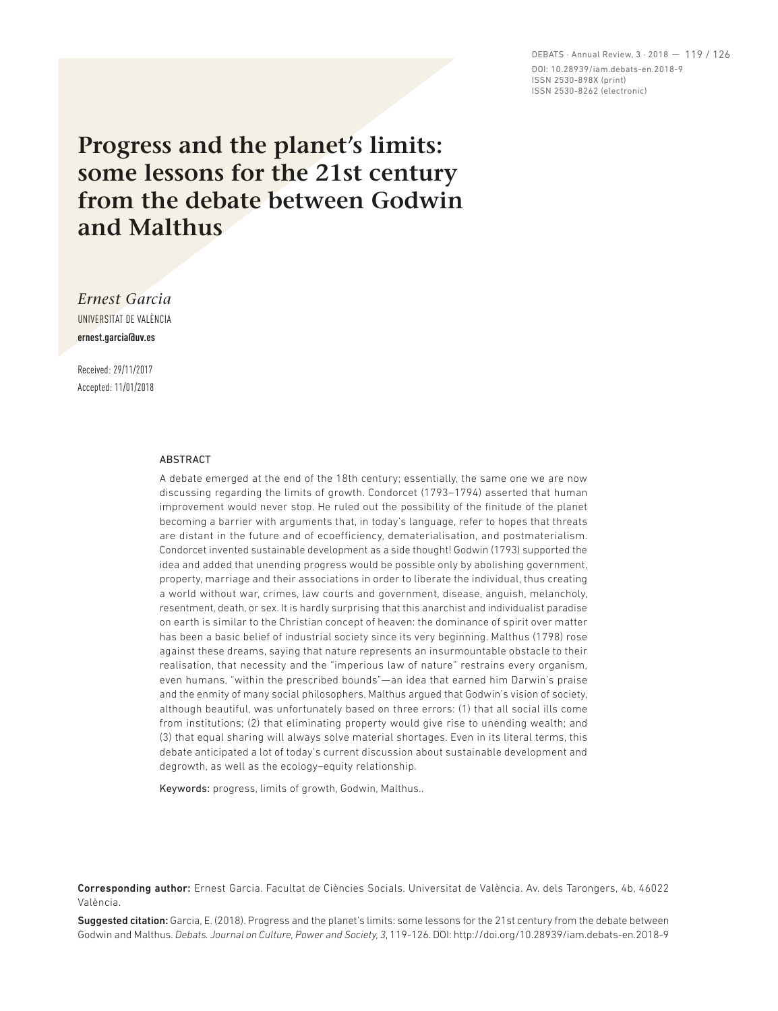DEBATS · Annual Review, 3 · 2018 — 119 / 126 DOI: 10.28939/iam.debats-en.2018-9 ISSN 2530-898X (print) ISSN 2530-8262 (electronic)

# **Progress and the planet's limits: some lessons for the 21st century from the debate between Godwin and Malthus**

*Ernest Garcia* UNIVERSITAT DE VALÈNCIA **ernest.garcia@uv.es**

Received: 29/11/2017 Accepted: 11/01/2018

#### ABSTRACT

A debate emerged at the end of the 18th century; essentially, the same one we are now discussing regarding the limits of growth. Condorcet (1793–1794) asserted that human improvement would never stop. He ruled out the possibility of the finitude of the planet becoming a barrier with arguments that, in today's language, refer to hopes that threats are distant in the future and of ecoefficiency, dematerialisation, and postmaterialism. Condorcet invented sustainable development as a side thought! Godwin (1793) supported the idea and added that unending progress would be possible only by abolishing government, property, marriage and their associations in order to liberate the individual, thus creating a world without war, crimes, law courts and government, disease, anguish, melancholy, resentment, death, or sex. It is hardly surprising that this anarchist and individualist paradise on earth is similar to the Christian concept of heaven: the dominance of spirit over matter has been a basic belief of industrial society since its very beginning. Malthus (1798) rose against these dreams, saying that nature represents an insurmountable obstacle to their realisation, that necessity and the "imperious law of nature" restrains every organism, even humans, "within the prescribed bounds"—an idea that earned him Darwin's praise and the enmity of many social philosophers. Malthus argued that Godwin's vision of society, although beautiful, was unfortunately based on three errors: (1) that all social ills come from institutions; (2) that eliminating property would give rise to unending wealth; and (3) that equal sharing will always solve material shortages. Even in its literal terms, this debate anticipated a lot of today's current discussion about sustainable development and degrowth, as well as the ecology–equity relationship.

Keywords: progress, limits of growth, Godwin, Malthus..

Corresponding author: Ernest Garcia. Facultat de Ciències Socials. Universitat de València. Av. dels Tarongers, 4b, 46022 València.

Suggested citation: Garcia, E. (2018). Progress and the planet's limits: some lessons for the 21st century from the debate between Godwin and Malthus. *Debats. Journal on Culture, Power and Society, 3*, 119-126. DOI: http://doi.org/10.28939/iam.debats-en.2018-9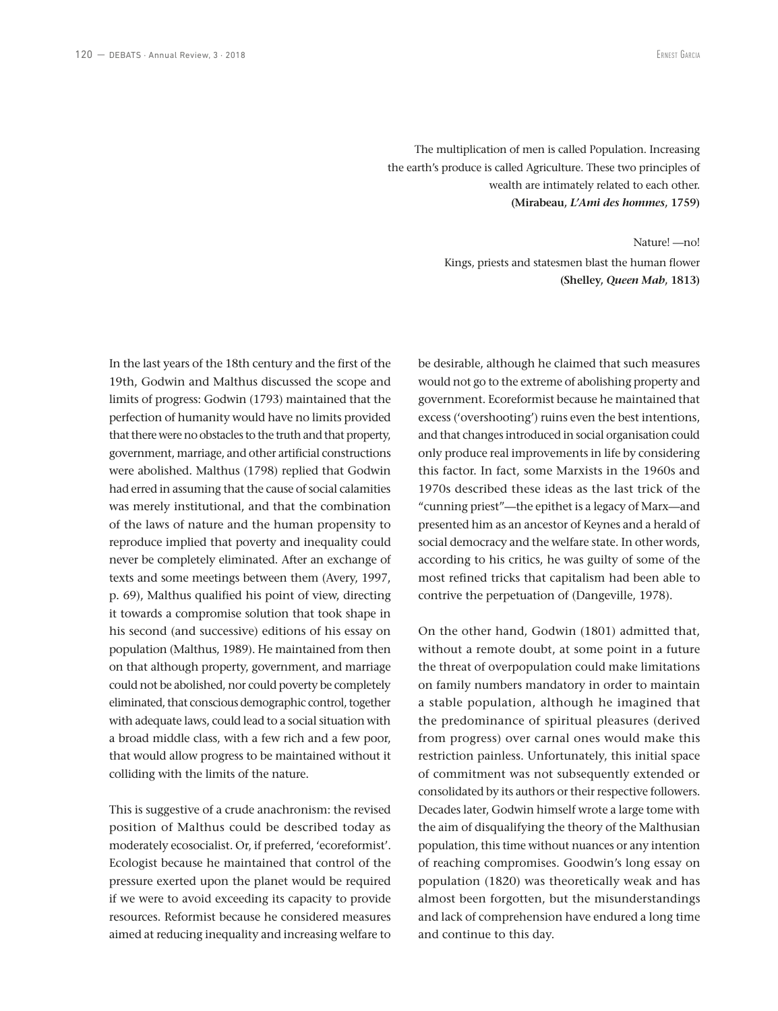The multiplication of men is called Population. Increasing the earth's produce is called Agriculture. These two principles of wealth are intimately related to each other. **(Mirabeau,** *L'Ami des hommes***, 1759)**

> Nature! —no! Kings, priests and statesmen blast the human flower **(Shelley,** *Queen Mab***, 1813)**

In the last years of the 18th century and the first of the 19th, Godwin and Malthus discussed the scope and limits of progress: Godwin (1793) maintained that the perfection of humanity would have no limits provided that there were no obstacles to the truth and that property, government, marriage, and other artificial constructions were abolished. Malthus (1798) replied that Godwin had erred in assuming that the cause of social calamities was merely institutional, and that the combination of the laws of nature and the human propensity to reproduce implied that poverty and inequality could never be completely eliminated. After an exchange of texts and some meetings between them (Avery, 1997, p. 69), Malthus qualified his point of view, directing it towards a compromise solution that took shape in his second (and successive) editions of his essay on population (Malthus, 1989). He maintained from then on that although property, government, and marriage could not be abolished, nor could poverty be completely eliminated, that conscious demographic control, together with adequate laws, could lead to a social situation with a broad middle class, with a few rich and a few poor, that would allow progress to be maintained without it colliding with the limits of the nature.

This is suggestive of a crude anachronism: the revised position of Malthus could be described today as moderately ecosocialist. Or, if preferred, 'ecoreformist'. Ecologist because he maintained that control of the pressure exerted upon the planet would be required if we were to avoid exceeding its capacity to provide resources. Reformist because he considered measures aimed at reducing inequality and increasing welfare to

be desirable, although he claimed that such measures would not go to the extreme of abolishing property and government. Ecoreformist because he maintained that excess ('overshooting') ruins even the best intentions, and that changes introduced in social organisation could only produce real improvements in life by considering this factor. In fact, some Marxists in the 1960s and 1970s described these ideas as the last trick of the "cunning priest"—the epithet is a legacy of Marx—and presented him as an ancestor of Keynes and a herald of social democracy and the welfare state. In other words, according to his critics, he was guilty of some of the most refined tricks that capitalism had been able to contrive the perpetuation of (Dangeville, 1978).

On the other hand, Godwin (1801) admitted that, without a remote doubt, at some point in a future the threat of overpopulation could make limitations on family numbers mandatory in order to maintain a stable population, although he imagined that the predominance of spiritual pleasures (derived from progress) over carnal ones would make this restriction painless. Unfortunately, this initial space of commitment was not subsequently extended or consolidated by its authors or their respective followers. Decades later, Godwin himself wrote a large tome with the aim of disqualifying the theory of the Malthusian population, this time without nuances or any intention of reaching compromises. Goodwin's long essay on population (1820) was theoretically weak and has almost been forgotten, but the misunderstandings and lack of comprehension have endured a long time and continue to this day.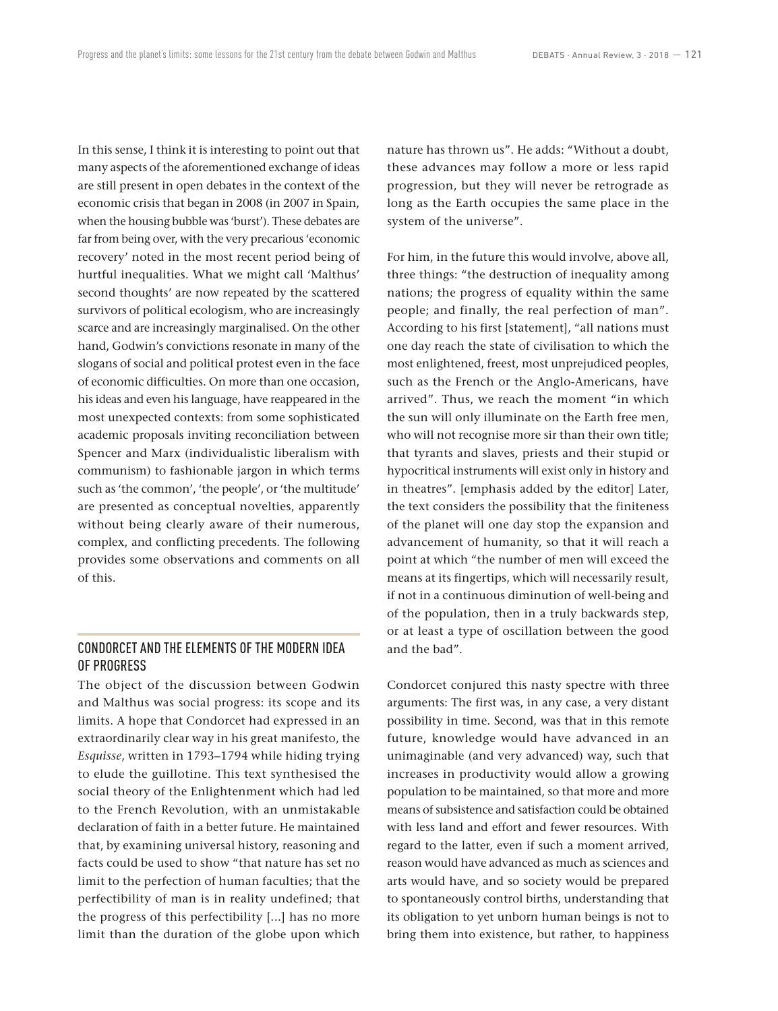In this sense, I think it is interesting to point out that many aspects of the aforementioned exchange of ideas are still present in open debates in the context of the economic crisis that began in 2008 (in 2007 in Spain, when the housing bubble was 'burst'). These debates are far from being over, with the very precarious 'economic recovery' noted in the most recent period being of hurtful inequalities. What we might call 'Malthus' second thoughts' are now repeated by the scattered survivors of political ecologism, who are increasingly scarce and are increasingly marginalised. On the other hand, Godwin's convictions resonate in many of the slogans of social and political protest even in the face of economic difficulties. On more than one occasion, his ideas and even his language, have reappeared in the most unexpected contexts: from some sophisticated academic proposals inviting reconciliation between Spencer and Marx (individualistic liberalism with communism) to fashionable jargon in which terms such as 'the common', 'the people', or 'the multitude' are presented as conceptual novelties, apparently without being clearly aware of their numerous, complex, and conflicting precedents. The following provides some observations and comments on all of this.

### CONDORCET AND THE ELEMENTS OF THE MODERN IDEA OF PROGRESS

The object of the discussion between Godwin and Malthus was social progress: its scope and its limits. A hope that Condorcet had expressed in an extraordinarily clear way in his great manifesto, the *Esquisse*, written in 1793–1794 while hiding trying to elude the guillotine. This text synthesised the social theory of the Enlightenment which had led to the French Revolution, with an unmistakable declaration of faith in a better future. He maintained that, by examining universal history, reasoning and facts could be used to show "that nature has set no limit to the perfection of human faculties; that the perfectibility of man is in reality undefined; that the progress of this perfectibility [...] has no more limit than the duration of the globe upon which nature has thrown us". He adds: "Without a doubt, these advances may follow a more or less rapid progression, but they will never be retrograde as long as the Earth occupies the same place in the system of the universe".

For him, in the future this would involve, above all, three things: "the destruction of inequality among nations; the progress of equality within the same people; and finally, the real perfection of man". According to his first [statement], "all nations must one day reach the state of civilisation to which the most enlightened, freest, most unprejudiced peoples, such as the French or the Anglo-Americans, have arrived". Thus, we reach the moment "in which the sun will only illuminate on the Earth free men, who will not recognise more sir than their own title; that tyrants and slaves, priests and their stupid or hypocritical instruments will exist only in history and in theatres". [emphasis added by the editor] Later, the text considers the possibility that the finiteness of the planet will one day stop the expansion and advancement of humanity, so that it will reach a point at which "the number of men will exceed the means at its fingertips, which will necessarily result, if not in a continuous diminution of well-being and of the population, then in a truly backwards step, or at least a type of oscillation between the good and the bad".

Condorcet conjured this nasty spectre with three arguments: The first was, in any case, a very distant possibility in time. Second, was that in this remote future, knowledge would have advanced in an unimaginable (and very advanced) way, such that increases in productivity would allow a growing population to be maintained, so that more and more means of subsistence and satisfaction could be obtained with less land and effort and fewer resources. With regard to the latter, even if such a moment arrived, reason would have advanced as much as sciences and arts would have, and so society would be prepared to spontaneously control births, understanding that its obligation to yet unborn human beings is not to bring them into existence, but rather, to happiness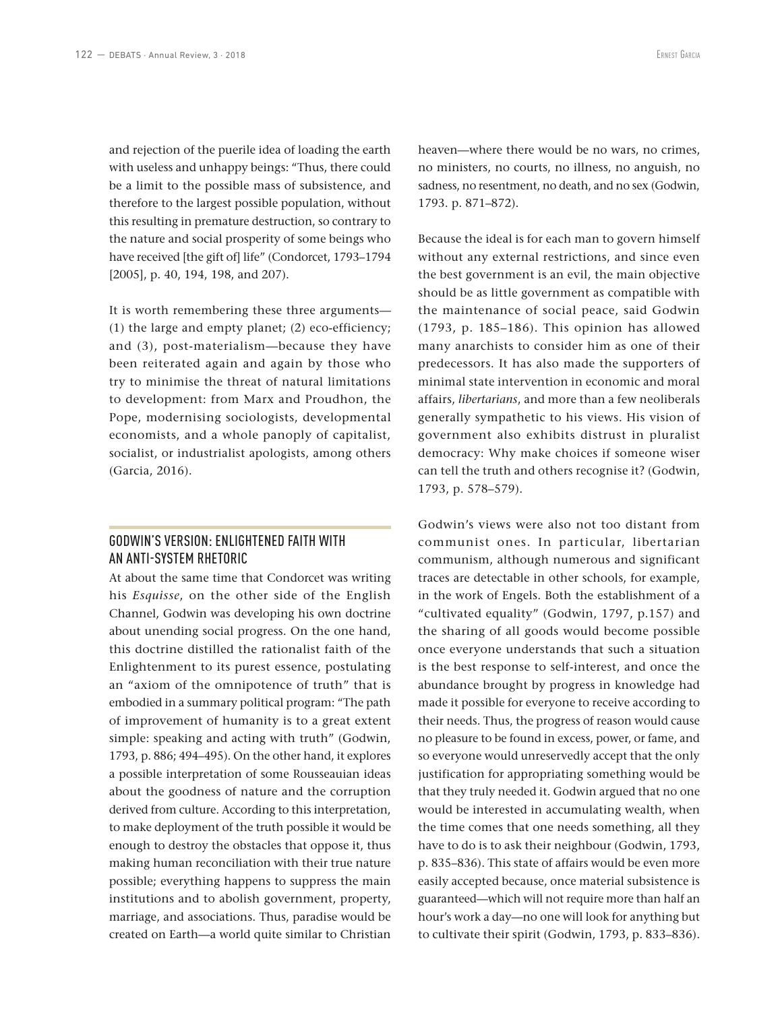and rejection of the puerile idea of loading the earth with useless and unhappy beings: "Thus, there could be a limit to the possible mass of subsistence, and therefore to the largest possible population, without this resulting in premature destruction, so contrary to the nature and social prosperity of some beings who have received [the gift of] life" (Condorcet, 1793–1794 [2005], p. 40, 194, 198, and 207).

It is worth remembering these three arguments— (1) the large and empty planet; (2) eco-efficiency; and (3), post-materialism—because they have been reiterated again and again by those who try to minimise the threat of natural limitations to development: from Marx and Proudhon, the Pope, modernising sociologists, developmental economists, and a whole panoply of capitalist, socialist, or industrialist apologists, among others (Garcia, 2016).

## GODWIN'S VERSION: ENLIGHTENED FAITH WITH AN ANTI-SYSTEM RHETORIC

At about the same time that Condorcet was writing his *Esquisse*, on the other side of the English Channel, Godwin was developing his own doctrine about unending social progress. On the one hand, this doctrine distilled the rationalist faith of the Enlightenment to its purest essence, postulating an "axiom of the omnipotence of truth" that is embodied in a summary political program: "The path of improvement of humanity is to a great extent simple: speaking and acting with truth" (Godwin, 1793, p. 886; 494–495). On the other hand, it explores a possible interpretation of some Rousseauian ideas about the goodness of nature and the corruption derived from culture. According to this interpretation, to make deployment of the truth possible it would be enough to destroy the obstacles that oppose it, thus making human reconciliation with their true nature possible; everything happens to suppress the main institutions and to abolish government, property, marriage, and associations. Thus, paradise would be created on Earth—a world quite similar to Christian

heaven—where there would be no wars, no crimes, no ministers, no courts, no illness, no anguish, no sadness, no resentment, no death, and no sex (Godwin, 1793. p. 871–872).

Because the ideal is for each man to govern himself without any external restrictions, and since even the best government is an evil, the main objective should be as little government as compatible with the maintenance of social peace, said Godwin (1793, p. 185–186). This opinion has allowed many anarchists to consider him as one of their predecessors. It has also made the supporters of minimal state intervention in economic and moral affairs, *libertarians*, and more than a few neoliberals generally sympathetic to his views. His vision of government also exhibits distrust in pluralist democracy: Why make choices if someone wiser can tell the truth and others recognise it? (Godwin, 1793, p. 578–579).

Godwin's views were also not too distant from communist ones. In particular, libertarian communism, although numerous and significant traces are detectable in other schools, for example, in the work of Engels. Both the establishment of a "cultivated equality" (Godwin, 1797, p.157) and the sharing of all goods would become possible once everyone understands that such a situation is the best response to self-interest, and once the abundance brought by progress in knowledge had made it possible for everyone to receive according to their needs. Thus, the progress of reason would cause no pleasure to be found in excess, power, or fame, and so everyone would unreservedly accept that the only justification for appropriating something would be that they truly needed it. Godwin argued that no one would be interested in accumulating wealth, when the time comes that one needs something, all they have to do is to ask their neighbour (Godwin, 1793, p. 835–836). This state of affairs would be even more easily accepted because, once material subsistence is guaranteed—which will not require more than half an hour's work a day—no one will look for anything but to cultivate their spirit (Godwin, 1793, p. 833–836).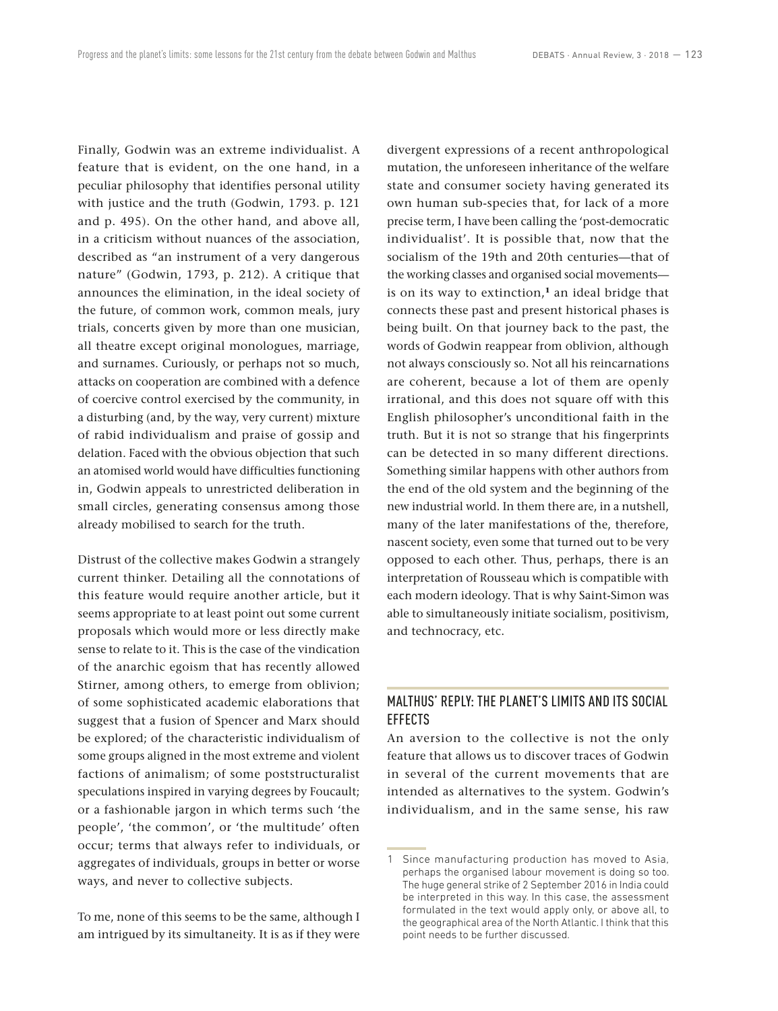Finally, Godwin was an extreme individualist. A feature that is evident, on the one hand, in a peculiar philosophy that identifies personal utility with justice and the truth (Godwin, 1793. p. 121 and p. 495). On the other hand, and above all, in a criticism without nuances of the association, described as "an instrument of a very dangerous nature" (Godwin, 1793, p. 212). A critique that announces the elimination, in the ideal society of the future, of common work, common meals, jury trials, concerts given by more than one musician, all theatre except original monologues, marriage, and surnames. Curiously, or perhaps not so much, attacks on cooperation are combined with a defence of coercive control exercised by the community, in a disturbing (and, by the way, very current) mixture of rabid individualism and praise of gossip and delation. Faced with the obvious objection that such an atomised world would have difficulties functioning in, Godwin appeals to unrestricted deliberation in small circles, generating consensus among those already mobilised to search for the truth.

Distrust of the collective makes Godwin a strangely current thinker. Detailing all the connotations of this feature would require another article, but it seems appropriate to at least point out some current proposals which would more or less directly make sense to relate to it. This is the case of the vindication of the anarchic egoism that has recently allowed Stirner, among others, to emerge from oblivion; of some sophisticated academic elaborations that suggest that a fusion of Spencer and Marx should be explored; of the characteristic individualism of some groups aligned in the most extreme and violent factions of animalism; of some poststructuralist speculations inspired in varying degrees by Foucault; or a fashionable jargon in which terms such 'the people', 'the common', or 'the multitude' often occur; terms that always refer to individuals, or aggregates of individuals, groups in better or worse ways, and never to collective subjects.

To me, none of this seems to be the same, although I am intrigued by its simultaneity. It is as if they were

divergent expressions of a recent anthropological mutation, the unforeseen inheritance of the welfare state and consumer society having generated its own human sub-species that, for lack of a more precise term, I have been calling the 'post-democratic individualist'. It is possible that, now that the socialism of the 19th and 20th centuries—that of the working classes and organised social movements is on its way to extinction,**<sup>1</sup>** an ideal bridge that connects these past and present historical phases is being built. On that journey back to the past, the words of Godwin reappear from oblivion, although not always consciously so. Not all his reincarnations are coherent, because a lot of them are openly irrational, and this does not square off with this English philosopher's unconditional faith in the truth. But it is not so strange that his fingerprints can be detected in so many different directions. Something similar happens with other authors from the end of the old system and the beginning of the new industrial world. In them there are, in a nutshell, many of the later manifestations of the, therefore, nascent society, even some that turned out to be very opposed to each other. Thus, perhaps, there is an interpretation of Rousseau which is compatible with each modern ideology. That is why Saint-Simon was able to simultaneously initiate socialism, positivism, and technocracy, etc.

## MALTHUS' REPLY: THE PLANET'S LIMITS AND ITS SOCIAL EFFECTS

An aversion to the collective is not the only feature that allows us to discover traces of Godwin in several of the current movements that are intended as alternatives to the system. Godwin's individualism, and in the same sense, his raw

<sup>1</sup> Since manufacturing production has moved to Asia, perhaps the organised labour movement is doing so too. The huge general strike of 2 September 2016 in India could be interpreted in this way. In this case, the assessment formulated in the text would apply only, or above all, to the geographical area of the North Atlantic. I think that this point needs to be further discussed.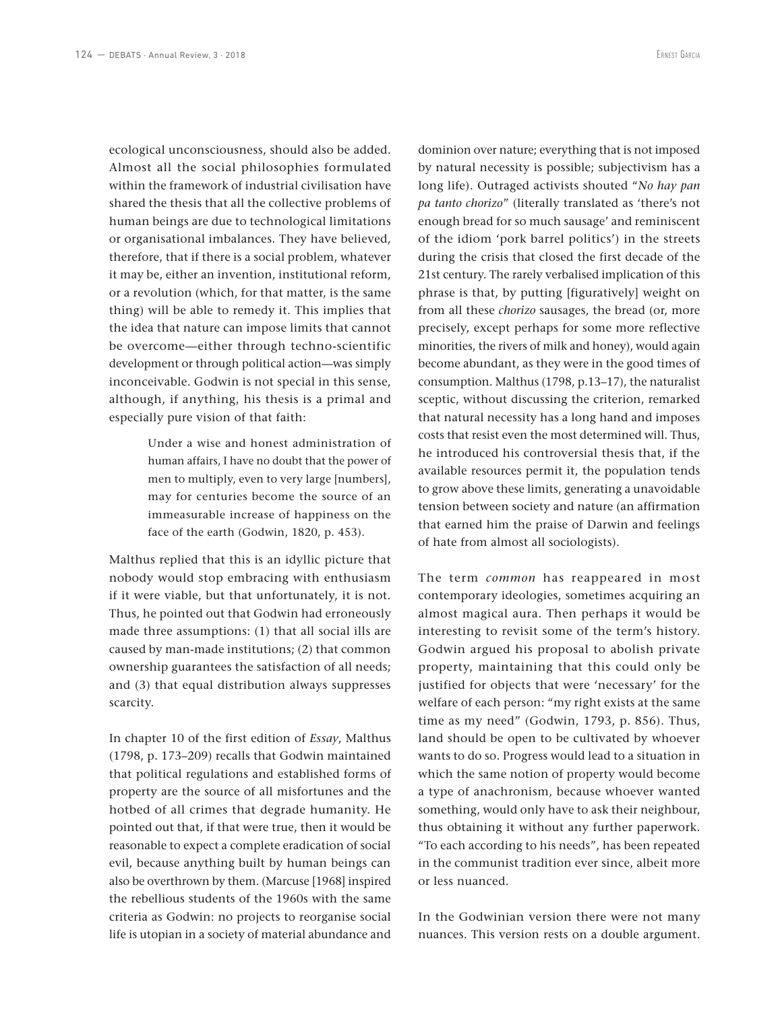ecological unconsciousness, should also be added. Almost all the social philosophies formulated within the framework of industrial civilisation have shared the thesis that all the collective problems of human beings are due to technological limitations or organisational imbalances. They have believed, therefore, that if there is a social problem, whatever it may be, either an invention, institutional reform, or a revolution (which, for that matter, is the same thing) will be able to remedy it. This implies that the idea that nature can impose limits that cannot be overcome—either through techno-scientific development or through political action—was simply inconceivable. Godwin is not special in this sense, although, if anything, his thesis is a primal and especially pure vision of that faith:

> Under a wise and honest administration of human affairs, I have no doubt that the power of men to multiply, even to very large [numbers], may for centuries become the source of an immeasurable increase of happiness on the face of the earth (Godwin, 1820, p. 453).

Malthus replied that this is an idyllic picture that nobody would stop embracing with enthusiasm if it were viable, but that unfortunately, it is not. Thus, he pointed out that Godwin had erroneously made three assumptions: (1) that all social ills are caused by man-made institutions; (2) that common ownership guarantees the satisfaction of all needs; and (3) that equal distribution always suppresses scarcity.

In chapter 10 of the first edition of *Essay*, Malthus (1798, p. 173–209) recalls that Godwin maintained that political regulations and established forms of property are the source of all misfortunes and the hotbed of all crimes that degrade humanity. He pointed out that, if that were true, then it would be reasonable to expect a complete eradication of social evil, because anything built by human beings can also be overthrown by them. (Marcuse [1968] inspired the rebellious students of the 1960s with the same criteria as Godwin: no projects to reorganise social life is utopian in a society of material abundance and

dominion over nature; everything that is not imposed by natural necessity is possible; subjectivism has a

long life). Outraged activists shouted "*No hay pan pa tanto chorizo*" (literally translated as 'there's not enough bread for so much sausage' and reminiscent of the idiom 'pork barrel politics') in the streets during the crisis that closed the first decade of the 21st century. The rarely verbalised implication of this phrase is that, by putting [figuratively] weight on from all these *chorizo* sausages, the bread (or, more precisely, except perhaps for some more reflective minorities, the rivers of milk and honey), would again become abundant, as they were in the good times of consumption. Malthus (1798, p.13–17), the naturalist sceptic, without discussing the criterion, remarked that natural necessity has a long hand and imposes costs that resist even the most determined will. Thus, he introduced his controversial thesis that, if the available resources permit it, the population tends to grow above these limits, generating a unavoidable tension between society and nature (an affirmation that earned him the praise of Darwin and feelings of hate from almost all sociologists).

The term *common* has reappeared in most contemporary ideologies, sometimes acquiring an almost magical aura. Then perhaps it would be interesting to revisit some of the term's history. Godwin argued his proposal to abolish private property, maintaining that this could only be justified for objects that were 'necessary' for the welfare of each person: "my right exists at the same time as my need" (Godwin, 1793, p. 856). Thus, land should be open to be cultivated by whoever wants to do so. Progress would lead to a situation in which the same notion of property would become a type of anachronism, because whoever wanted something, would only have to ask their neighbour, thus obtaining it without any further paperwork. "To each according to his needs", has been repeated in the communist tradition ever since, albeit more or less nuanced.

In the Godwinian version there were not many nuances. This version rests on a double argument.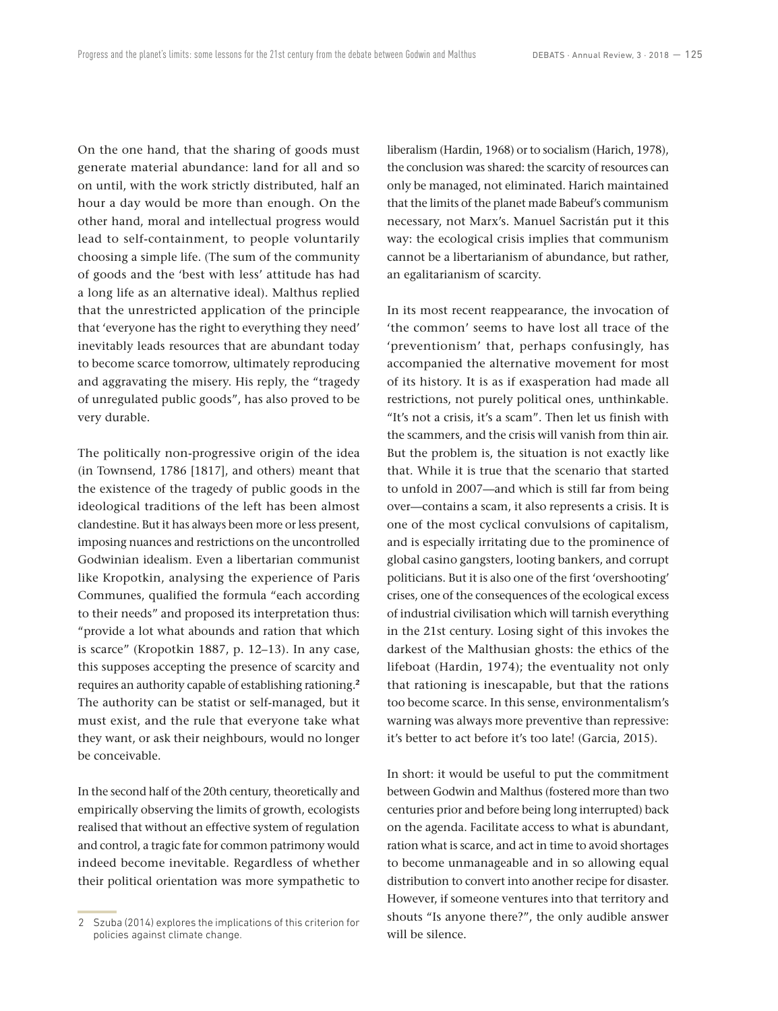On the one hand, that the sharing of goods must generate material abundance: land for all and so on until, with the work strictly distributed, half an hour a day would be more than enough. On the other hand, moral and intellectual progress would lead to self-containment, to people voluntarily choosing a simple life. (The sum of the community of goods and the 'best with less' attitude has had a long life as an alternative ideal). Malthus replied that the unrestricted application of the principle that 'everyone has the right to everything they need' inevitably leads resources that are abundant today to become scarce tomorrow, ultimately reproducing and aggravating the misery. His reply, the "tragedy of unregulated public goods", has also proved to be very durable.

The politically non-progressive origin of the idea (in Townsend, 1786 [1817], and others) meant that the existence of the tragedy of public goods in the ideological traditions of the left has been almost clandestine. But it has always been more or less present, imposing nuances and restrictions on the uncontrolled Godwinian idealism. Even a libertarian communist like Kropotkin, analysing the experience of Paris Communes, qualified the formula "each according to their needs" and proposed its interpretation thus: "provide a lot what abounds and ration that which is scarce" (Kropotkin 1887, p. 12–13). In any case, this supposes accepting the presence of scarcity and requires an authority capable of establishing rationing.**<sup>2</sup>** The authority can be statist or self-managed, but it must exist, and the rule that everyone take what they want, or ask their neighbours, would no longer be conceivable.

In the second half of the 20th century, theoretically and empirically observing the limits of growth, ecologists realised that without an effective system of regulation and control, a tragic fate for common patrimony would indeed become inevitable. Regardless of whether their political orientation was more sympathetic to

liberalism (Hardin, 1968) or to socialism (Harich, 1978), the conclusion was shared: the scarcity of resources can only be managed, not eliminated. Harich maintained that the limits of the planet made Babeuf's communism necessary, not Marx's. Manuel Sacristán put it this way: the ecological crisis implies that communism cannot be a libertarianism of abundance, but rather, an egalitarianism of scarcity.

In its most recent reappearance, the invocation of 'the common' seems to have lost all trace of the 'preventionism' that, perhaps confusingly, has accompanied the alternative movement for most of its history. It is as if exasperation had made all restrictions, not purely political ones, unthinkable. "It's not a crisis, it's a scam". Then let us finish with the scammers, and the crisis will vanish from thin air. But the problem is, the situation is not exactly like that. While it is true that the scenario that started to unfold in 2007—and which is still far from being over—contains a scam, it also represents a crisis. It is one of the most cyclical convulsions of capitalism, and is especially irritating due to the prominence of global casino gangsters, looting bankers, and corrupt politicians. But it is also one of the first 'overshooting' crises, one of the consequences of the ecological excess of industrial civilisation which will tarnish everything in the 21st century. Losing sight of this invokes the darkest of the Malthusian ghosts: the ethics of the lifeboat (Hardin, 1974); the eventuality not only that rationing is inescapable, but that the rations too become scarce. In this sense, environmentalism's warning was always more preventive than repressive: it's better to act before it's too late! (Garcia, 2015).

In short: it would be useful to put the commitment between Godwin and Malthus (fostered more than two centuries prior and before being long interrupted) back on the agenda. Facilitate access to what is abundant, ration what is scarce, and act in time to avoid shortages to become unmanageable and in so allowing equal distribution to convert into another recipe for disaster. However, if someone ventures into that territory and shouts "Is anyone there?", the only audible answer will be silence.

<sup>2</sup> Szuba (2014) explores the implications of this criterion for policies against climate change.